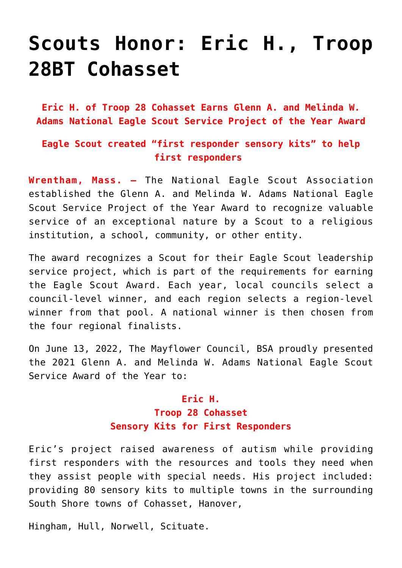## **[Scouts Honor: Eric H., Troop](https://www.mayflowerbsa.org/scouts-honor-eric-h-troop-28bt-cohasset/) [28BT Cohasset](https://www.mayflowerbsa.org/scouts-honor-eric-h-troop-28bt-cohasset/)**

**Eric H. of Troop 28 Cohasset Earns Glenn A. and Melinda W. Adams National Eagle Scout Service Project of the Year Award**

## **Eagle Scout created "first responder sensory kits" to help first responders**

**Wrentham, Mass. —** The National Eagle Scout Association established the Glenn A. and Melinda W. Adams National Eagle Scout Service Project of the Year Award to recognize valuable service of an exceptional nature by a Scout to a religious institution, a school, community, or other entity.

The award recognizes a Scout for their Eagle Scout leadership service project, which is part of the requirements for earning the Eagle Scout Award. Each year, local councils select a council-level winner, and each region selects a region-level winner from that pool. A national winner is then chosen from the four regional finalists.

On June 13, 2022, The Mayflower Council, BSA proudly presented the 2021 Glenn A. and Melinda W. Adams National Eagle Scout Service Award of the Year to:

## **Eric H. Troop 28 Cohasset Sensory Kits for First Responders**

Eric's project raised awareness of autism while providing first responders with the resources and tools they need when they assist people with special needs. His project included: providing 80 sensory kits to multiple towns in the surrounding South Shore towns of Cohasset, Hanover,

Hingham, Hull, Norwell, Scituate.